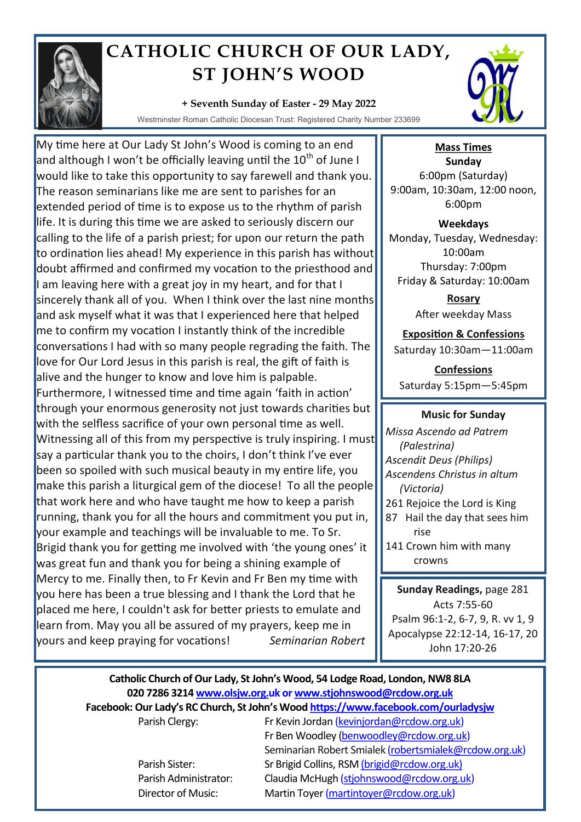

## **CATHOLIC CHURCH OF OUR LADY, ST JOHN'S WOOD**

## **+ Seventh Sunday of Easter - 29 May 2022**

Westminster Roman Catholic Diocesan Trust: Registered Charity Number 233699

My time here at Our Lady St John's Wood is coming to an end and although I won't be officially leaving until the  $10^{th}$  of June I would like to take this opportunity to say farewell and thank you. The reason seminarians like me are sent to parishes for an extended period of time is to expose us to the rhythm of parish life. It is during this time we are asked to seriously discern our calling to the life of a parish priest; for upon our return the path to ordination lies ahead! My experience in this parish has without doubt affirmed and confirmed my vocation to the priesthood and I am leaving here with a great joy in my heart, and for that I sincerely thank all of you. When I think over the last nine months and ask myself what it was that I experienced here that helped me to confirm my vocation I instantly think of the incredible conversations I had with so many people regrading the faith. The love for Our Lord Jesus in this parish is real, the gift of faith is alive and the hunger to know and love him is palpable. Furthermore, I witnessed time and time again 'faith in action' through your enormous generosity not just towards charities but with the selfless sacrifice of your own personal time as well. Witnessing all of this from my perspective is truly inspiring. I must say a particular thank you to the choirs, I don't think I've ever been so spoiled with such musical beauty in my entire life, you make this parish a liturgical gem of the diocese! To all the people that work here and who have taught me how to keep a parish running, thank you for all the hours and commitment you put in, your example and teachings will be invaluable to me. To Sr. Brigid thank you for getting me involved with 'the young ones' it was great fun and thank you for being a shining example of Mercy to me. Finally then, to Fr Kevin and Fr Ben my time with you here has been a true blessing and I thank the Lord that he placed me here, I couldn't ask for better priests to emulate and learn from. May you all be assured of my prayers, keep me in yours and keep praying for vocations! *Seminarian Robert*



**Mass Times Sunday** 6:00pm (Saturday) 9:00am, 10:30am, 12:00 noon, 6:00pm

**Weekdays** Monday, Tuesday, Wednesday: 10:00am Thursday: 7:00pm Friday & Saturday: 10:00am

> **Rosary** After weekday Mass

**Exposition & Confessions**

Saturday 10:30am—11:00am

**Confessions**  Saturday 5:15pm—5:45pm

## **Music for Sunday**

*Missa Ascendo ad Patrem (Palestrina) Ascendit Deus (Philips) Ascendens Christus in altum (Victoria)* 261 Rejoice the Lord is King 87 Hail the day that sees him rise 141 Crown him with many crowns

**Sunday Readings,** page 281 Acts 7:55-60 Psalm 96:1-2, 6-7, 9, R. vv 1, 9 Apocalypse 22:12-14, 16-17, 20 John 17:20-26

## **Catholic Church of Our Lady, St John's Wood, 54 Lodge Road, London, NW8 8LA 020 7286 3214 www.olsjw.org.uk or www.stjohnswood@rcdow.org.uk Facebook: Our Lady's RC Church, St John's Wood https://www.facebook.com/ourladysjw**

Parish Clergy: Fr Kevin Jordan (kevinjordan@rcdow.org.uk) Fr Ben Woodley (benwoodley@rcdow.org.uk) Seminarian Robert Smialek (robertsmialek@rcdow.org.uk) Parish Sister: Sr Brigid Collins, RSM (brigid@rcdow.org.uk) Parish Administrator: Claudia McHugh (stjohnswood@rcdow.org.uk) Director of Music: Martin Toyer (martintoyer@rcdow.org.uk)